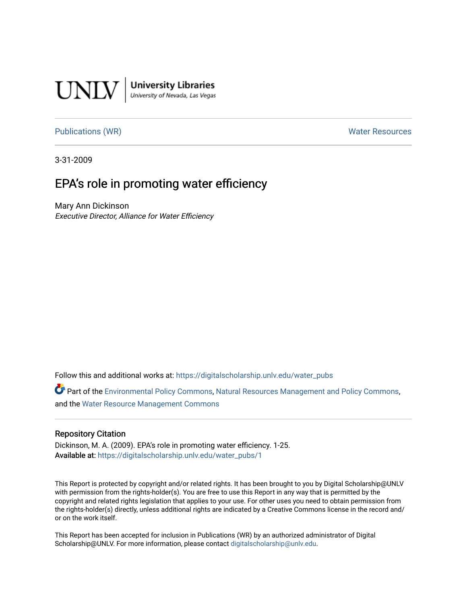

**University Libraries**<br>University of Nevada, Las Vegas

#### [Publications \(WR\)](https://digitalscholarship.unlv.edu/water_pubs) Notifiable Resources and Mater Resources and Mater Resources

3-31-2009

## EPA's role in promoting water efficiency

Mary Ann Dickinson Executive Director, Alliance for Water Efficiency

Follow this and additional works at: [https://digitalscholarship.unlv.edu/water\\_pubs](https://digitalscholarship.unlv.edu/water_pubs?utm_source=digitalscholarship.unlv.edu%2Fwater_pubs%2F1&utm_medium=PDF&utm_campaign=PDFCoverPages) 

Part of the [Environmental Policy Commons,](http://network.bepress.com/hgg/discipline/1027?utm_source=digitalscholarship.unlv.edu%2Fwater_pubs%2F1&utm_medium=PDF&utm_campaign=PDFCoverPages) [Natural Resources Management and Policy Commons](http://network.bepress.com/hgg/discipline/170?utm_source=digitalscholarship.unlv.edu%2Fwater_pubs%2F1&utm_medium=PDF&utm_campaign=PDFCoverPages), and the [Water Resource Management Commons](http://network.bepress.com/hgg/discipline/1057?utm_source=digitalscholarship.unlv.edu%2Fwater_pubs%2F1&utm_medium=PDF&utm_campaign=PDFCoverPages) 

#### Repository Citation

Dickinson, M. A. (2009). EPA's role in promoting water efficiency. 1-25. Available at: [https://digitalscholarship.unlv.edu/water\\_pubs/1](https://digitalscholarship.unlv.edu/water_pubs/1) 

This Report is protected by copyright and/or related rights. It has been brought to you by Digital Scholarship@UNLV with permission from the rights-holder(s). You are free to use this Report in any way that is permitted by the copyright and related rights legislation that applies to your use. For other uses you need to obtain permission from the rights-holder(s) directly, unless additional rights are indicated by a Creative Commons license in the record and/ or on the work itself.

This Report has been accepted for inclusion in Publications (WR) by an authorized administrator of Digital Scholarship@UNLV. For more information, please contact [digitalscholarship@unlv.edu.](mailto:digitalscholarship@unlv.edu)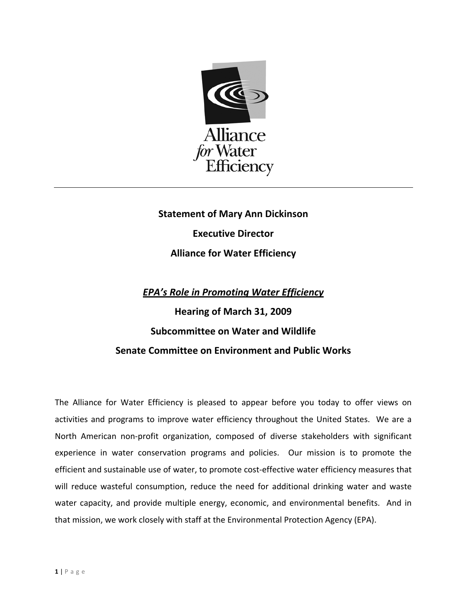

# **Statement of Mary Ann Dickinson Executive Director Alliance for Water Efficiency**

### *EPA's Role in Promoting Water Efficiency*

# **Hearing of March 31, 2009 Subcommittee on Water and Wildlife Senate Committee on Environment and Public Works**

The Alliance for Water Efficiency is pleased to appear before you today to offer views on activities and programs to improve water efficiency throughout the United States. We are a North American non‐profit organization, composed of diverse stakeholders with significant experience in water conservation programs and policies. Our mission is to promote the efficient and sustainable use of water, to promote cost-effective water efficiency measures that will reduce wasteful consumption, reduce the need for additional drinking water and waste water capacity, and provide multiple energy, economic, and environmental benefits. And in that mission, we work closely with staff at the Environmental Protection Agency (EPA).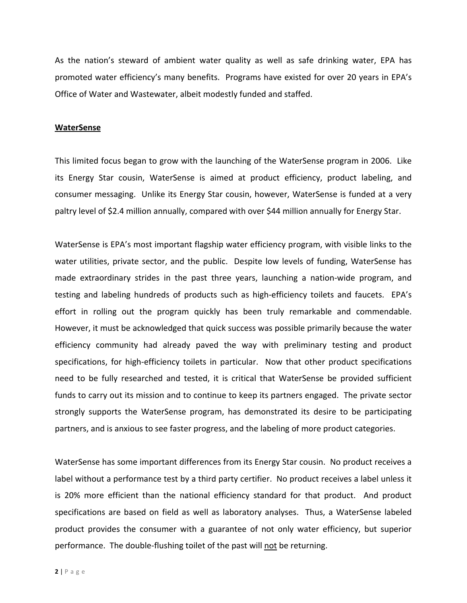As the nation's steward of ambient water quality as well as safe drinking water, EPA has promoted water efficiency's many benefits. Programs have existed for over 20 years in EPA's Office of Water and Wastewater, albeit modestly funded and staffed.

#### **WaterSense**

This limited focus began to grow with the launching of the WaterSense program in 2006. Like its Energy Star cousin, WaterSense is aimed at product efficiency, product labeling, and consumer messaging. Unlike its Energy Star cousin, however, WaterSense is funded at a very paltry level of \$2.4 million annually, compared with over \$44 million annually for Energy Star.

WaterSense is EPA's most important flagship water efficiency program, with visible links to the water utilities, private sector, and the public. Despite low levels of funding, WaterSense has made extraordinary strides in the past three years, launching a nation-wide program, and testing and labeling hundreds of products such as high-efficiency toilets and faucets. EPA's effort in rolling out the program quickly has been truly remarkable and commendable. However, it must be acknowledged that quick success was possible primarily because the water efficiency community had already paved the way with preliminary testing and product specifications, for high-efficiency toilets in particular. Now that other product specifications need to be fully researched and tested, it is critical that WaterSense be provided sufficient funds to carry out its mission and to continue to keep its partners engaged. The private sector strongly supports the WaterSense program, has demonstrated its desire to be participating partners, and is anxious to see faster progress, and the labeling of more product categories.

WaterSense has some important differences from its Energy Star cousin. No product receives a label without a performance test by a third party certifier. No product receives a label unless it is 20% more efficient than the national efficiency standard for that product. And product specifications are based on field as well as laboratory analyses. Thus, a WaterSense labeled product provides the consumer with a guarantee of not only water efficiency, but superior performance. The double‐flushing toilet of the past will not be returning.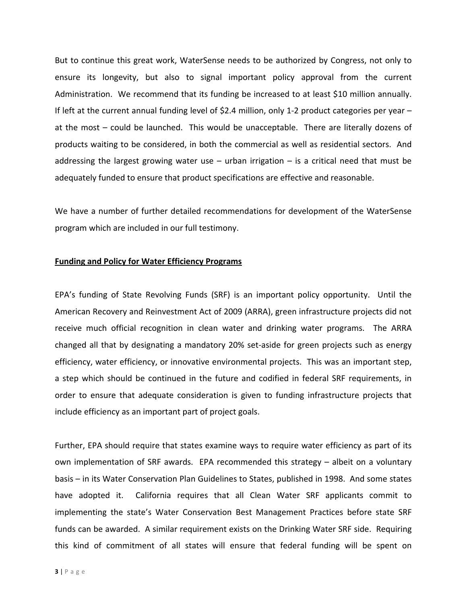But to continue this great work, WaterSense needs to be authorized by Congress, not only to ensure its longevity, but also to signal important policy approval from the current Administration. We recommend that its funding be increased to at least \$10 million annually. If left at the current annual funding level of \$2.4 million, only 1‐2 product categories per year – at the most – could be launched. This would be unacceptable. There are literally dozens of products waiting to be considered, in both the commercial as well as residential sectors. And addressing the largest growing water use  $-$  urban irrigation  $-$  is a critical need that must be adequately funded to ensure that product specifications are effective and reasonable.

We have a number of further detailed recommendations for development of the WaterSense program which are included in our full testimony.

#### **Funding and Policy for Water Efficiency Programs**

EPA's funding of State Revolving Funds (SRF) is an important policy opportunity. Until the American Recovery and Reinvestment Act of 2009 (ARRA), green infrastructure projects did not receive much official recognition in clean water and drinking water programs. The ARRA changed all that by designating a mandatory 20% set‐aside for green projects such as energy efficiency, water efficiency, or innovative environmental projects. This was an important step, a step which should be continued in the future and codified in federal SRF requirements, in order to ensure that adequate consideration is given to funding infrastructure projects that include efficiency as an important part of project goals.

Further, EPA should require that states examine ways to require water efficiency as part of its own implementation of SRF awards. EPA recommended this strategy – albeit on a voluntary basis – in its Water Conservation Plan Guidelines to States, published in 1998. And some states have adopted it. California requires that all Clean Water SRF applicants commit to implementing the state's Water Conservation Best Management Practices before state SRF funds can be awarded. A similar requirement exists on the Drinking Water SRF side. Requiring this kind of commitment of all states will ensure that federal funding will be spent on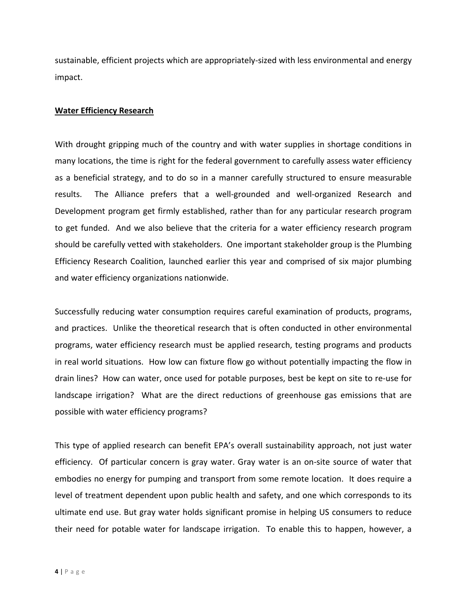sustainable, efficient projects which are appropriately‐sized with less environmental and energy impact.

#### **Water Efficiency Research**

With drought gripping much of the country and with water supplies in shortage conditions in many locations, the time is right for the federal government to carefully assess water efficiency as a beneficial strategy, and to do so in a manner carefully structured to ensure measurable results. The Alliance prefers that a well‐grounded and well‐organized Research and Development program get firmly established, rather than for any particular research program to get funded. And we also believe that the criteria for a water efficiency research program should be carefully vetted with stakeholders. One important stakeholder group is the Plumbing Efficiency Research Coalition, launched earlier this year and comprised of six major plumbing and water efficiency organizations nationwide.

Successfully reducing water consumption requires careful examination of products, programs, and practices. Unlike the theoretical research that is often conducted in other environmental programs, water efficiency research must be applied research, testing programs and products in real world situations. How low can fixture flow go without potentially impacting the flow in drain lines? How can water, once used for potable purposes, best be kept on site to re‐use for landscape irrigation? What are the direct reductions of greenhouse gas emissions that are possible with water efficiency programs?

This type of applied research can benefit EPA's overall sustainability approach, not just water efficiency. Of particular concern is gray water. Gray water is an on‐site source of water that embodies no energy for pumping and transport from some remote location. It does require a level of treatment dependent upon public health and safety, and one which corresponds to its ultimate end use. But gray water holds significant promise in helping US consumers to reduce their need for potable water for landscape irrigation. To enable this to happen, however, a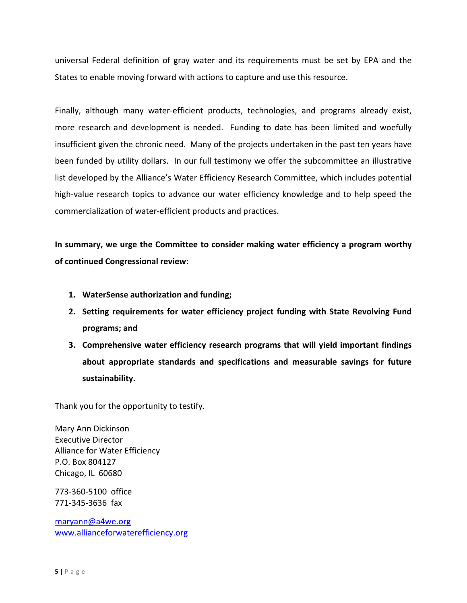universal Federal definition of gray water and its requirements must be set by EPA and the States to enable moving forward with actions to capture and use this resource.

Finally, although many water‐efficient products, technologies, and programs already exist, more research and development is needed. Funding to date has been limited and woefully insufficient given the chronic need. Many of the projects undertaken in the past ten years have been funded by utility dollars. In our full testimony we offer the subcommittee an illustrative list developed by the Alliance's Water Efficiency Research Committee, which includes potential high-value research topics to advance our water efficiency knowledge and to help speed the commercialization of water‐efficient products and practices.

**In summary, we urge the Committee to consider making water efficiency a program worthy of continued Congressional review:** 

- **1. WaterSense authorization and funding;**
- **2. Setting requirements for water efficiency project funding with State Revolving Fund programs; and**
- **3. Comprehensive water efficiency research programs that will yield important findings about appropriate standards and specifications and measurable savings for future sustainability.**

Thank you for the opportunity to testify.

Mary Ann Dickinson Executive Director Alliance for Water Efficiency P.O. Box 804127 Chicago, IL 60680

773‐360‐5100 office 771‐345‐3636 fax

maryann@a4we.org www.allianceforwaterefficiency.org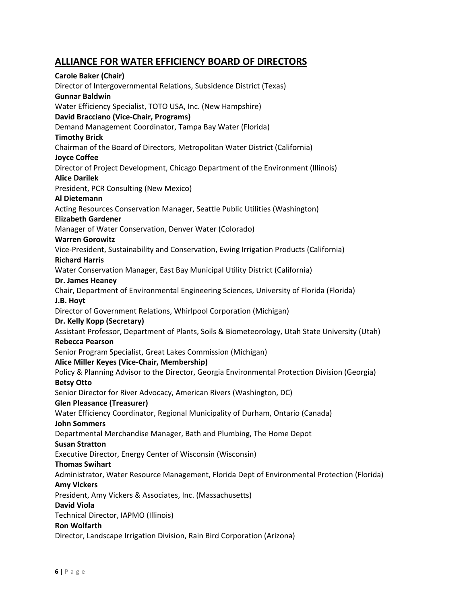### **ALLIANCE FOR WATER EFFICIENCY BOARD OF DIRECTORS**

**Carole Baker (Chair)** Director of Intergovernmental Relations, Subsidence District (Texas) **Gunnar Baldwin** Water Efficiency Specialist, TOTO USA, Inc. (New Hampshire) **David Bracciano (Vice‐Chair, Programs)** Demand Management Coordinator, Tampa Bay Water (Florida) **Timothy Brick** Chairman of the Board of Directors, Metropolitan Water District (California) **Joyce Coffee** Director of Project Development, Chicago Department of the Environment (Illinois) **Alice Darilek** President, PCR Consulting (New Mexico) **Al Dietemann** Acting Resources Conservation Manager, Seattle Public Utilities (Washington) **Elizabeth Gardener** Manager of Water Conservation, Denver Water (Colorado) **Warren Gorowitz** Vice‐President, Sustainability and Conservation, Ewing Irrigation Products (California) **Richard Harris** Water Conservation Manager, East Bay Municipal Utility District (California) **Dr. James Heaney** Chair, Department of Environmental Engineering Sciences, University of Florida (Florida) **J.B. Hoyt** Director of Government Relations, Whirlpool Corporation (Michigan) **Dr. Kelly Kopp (Secretary)** Assistant Professor, Department of Plants, Soils & Biometeorology, Utah State University (Utah) **Rebecca Pearson** Senior Program Specialist, Great Lakes Commission (Michigan) **Alice Miller Keyes (Vice‐Chair, Membership)** Policy & Planning Advisor to the Director, Georgia Environmental Protection Division (Georgia) **Betsy Otto** Senior Director for River Advocacy, American Rivers (Washington, DC) **Glen Pleasance (Treasurer)** Water Efficiency Coordinator, Regional Municipality of Durham, Ontario (Canada) **John Sommers** Departmental Merchandise Manager, Bath and Plumbing, The Home Depot **Susan Stratton** Executive Director, Energy Center of Wisconsin (Wisconsin) **Thomas Swihart** Administrator, Water Resource Management, Florida Dept of Environmental Protection (Florida) **Amy Vickers** President, Amy Vickers & Associates, Inc. (Massachusetts) **David Viola** Technical Director, IAPMO (Illinois) **Ron Wolfarth** Director, Landscape Irrigation Division, Rain Bird Corporation (Arizona)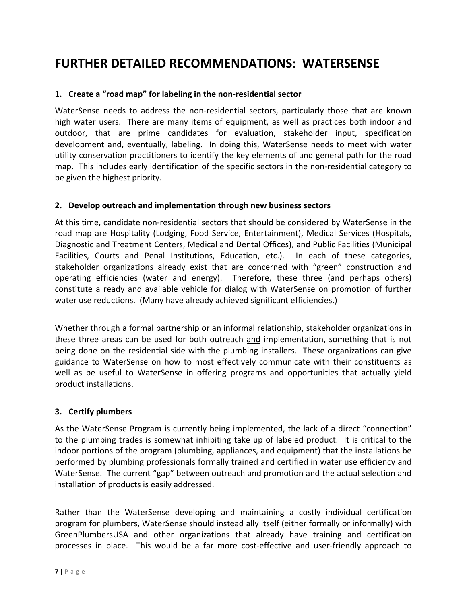## **FURTHER DETAILED RECOMMENDATIONS: WATERSENSE**

#### **1. Create a "road map" for labeling in the non‐residential sector**

WaterSense needs to address the non-residential sectors, particularly those that are known high water users. There are many items of equipment, as well as practices both indoor and outdoor, that are prime candidates for evaluation, stakeholder input, specification development and, eventually, labeling. In doing this, WaterSense needs to meet with water utility conservation practitioners to identify the key elements of and general path for the road map. This includes early identification of the specific sectors in the non-residential category to be given the highest priority.

#### **2. Develop outreach and implementation through new business sectors**

At this time, candidate non‐residential sectors that should be considered by WaterSense in the road map are Hospitality (Lodging, Food Service, Entertainment), Medical Services (Hospitals, Diagnostic and Treatment Centers, Medical and Dental Offices), and Public Facilities (Municipal Facilities, Courts and Penal Institutions, Education, etc.). In each of these categories, stakeholder organizations already exist that are concerned with "green" construction and operating efficiencies (water and energy). Therefore, these three (and perhaps others) constitute a ready and available vehicle for dialog with WaterSense on promotion of further water use reductions. (Many have already achieved significant efficiencies.)

Whether through a formal partnership or an informal relationship, stakeholder organizations in these three areas can be used for both outreach and implementation, something that is not being done on the residential side with the plumbing installers. These organizations can give guidance to WaterSense on how to most effectively communicate with their constituents as well as be useful to WaterSense in offering programs and opportunities that actually yield product installations.

#### **3. Certify plumbers**

As the WaterSense Program is currently being implemented, the lack of a direct "connection" to the plumbing trades is somewhat inhibiting take up of labeled product. It is critical to the indoor portions of the program (plumbing, appliances, and equipment) that the installations be performed by plumbing professionals formally trained and certified in water use efficiency and WaterSense. The current "gap" between outreach and promotion and the actual selection and installation of products is easily addressed.

Rather than the WaterSense developing and maintaining a costly individual certification program for plumbers, WaterSense should instead ally itself (either formally or informally) with GreenPlumbersUSA and other organizations that already have training and certification processes in place. This would be a far more cost‐effective and user‐friendly approach to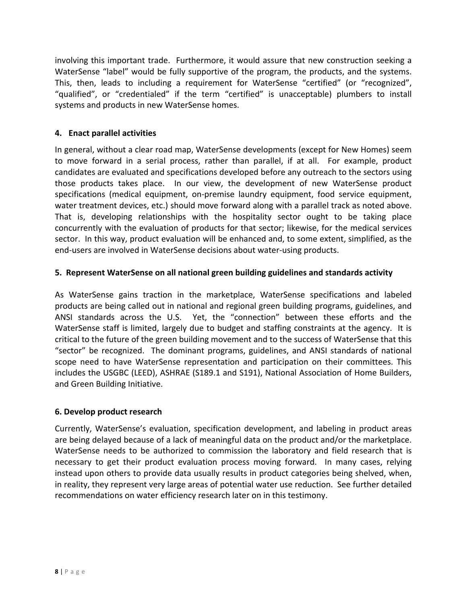involving this important trade. Furthermore, it would assure that new construction seeking a WaterSense "label" would be fully supportive of the program, the products, and the systems. This, then, leads to including a requirement for WaterSense "certified" (or "recognized", "qualified", or "credentialed" if the term "certified" is unacceptable) plumbers to install systems and products in new WaterSense homes.

#### **4. Enact parallel activities**

In general, without a clear road map, WaterSense developments (except for New Homes) seem to move forward in a serial process, rather than parallel, if at all. For example, product candidates are evaluated and specifications developed before any outreach to the sectors using those products takes place. In our view, the development of new WaterSense product specifications (medical equipment, on-premise laundry equipment, food service equipment, water treatment devices, etc.) should move forward along with a parallel track as noted above. That is, developing relationships with the hospitality sector ought to be taking place concurrently with the evaluation of products for that sector; likewise, for the medical services sector. In this way, product evaluation will be enhanced and, to some extent, simplified, as the end‐users are involved in WaterSense decisions about water‐using products.

#### **5. Represent WaterSense on all national green building guidelines and standards activity**

As WaterSense gains traction in the marketplace, WaterSense specifications and labeled products are being called out in national and regional green building programs, guidelines, and ANSI standards across the U.S. Yet, the "connection" between these efforts and the WaterSense staff is limited, largely due to budget and staffing constraints at the agency. It is critical to the future of the green building movement and to the success of WaterSense that this "sector" be recognized. The dominant programs, guidelines, and ANSI standards of national scope need to have WaterSense representation and participation on their committees. This includes the USGBC (LEED), ASHRAE (S189.1 and S191), National Association of Home Builders, and Green Building Initiative.

#### **6. Develop product research**

Currently, WaterSense's evaluation, specification development, and labeling in product areas are being delayed because of a lack of meaningful data on the product and/or the marketplace. WaterSense needs to be authorized to commission the laboratory and field research that is necessary to get their product evaluation process moving forward. In many cases, relying instead upon others to provide data usually results in product categories being shelved, when, in reality, they represent very large areas of potential water use reduction. See further detailed recommendations on water efficiency research later on in this testimony.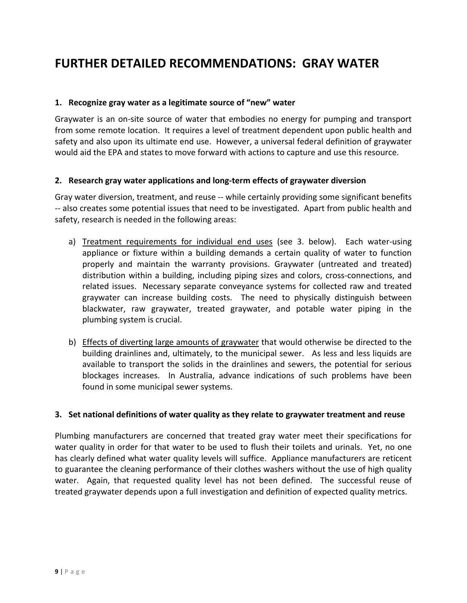## **FURTHER DETAILED RECOMMENDATIONS: GRAY WATER**

#### **1. Recognize gray water as a legitimate source of "new" water**

Graywater is an on‐site source of water that embodies no energy for pumping and transport from some remote location. It requires a level of treatment dependent upon public health and safety and also upon its ultimate end use. However, a universal federal definition of graywater would aid the EPA and states to move forward with actions to capture and use this resource.

#### **2. Research gray water applications and long‐term effects of graywater diversion**

Gray water diversion, treatment, and reuse ‐‐ while certainly providing some significant benefits ‐‐ also creates some potential issues that need to be investigated. Apart from public health and safety, research is needed in the following areas:

- a) Treatment requirements for individual end uses (see 3. below). Each water-using appliance or fixture within a building demands a certain quality of water to function properly and maintain the warranty provisions. Graywater (untreated and treated) distribution within a building, including piping sizes and colors, cross‐connections, and related issues. Necessary separate conveyance systems for collected raw and treated graywater can increase building costs. The need to physically distinguish between blackwater, raw graywater, treated graywater, and potable water piping in the plumbing system is crucial.
- b) Effects of diverting large amounts of graywater that would otherwise be directed to the building drainlines and, ultimately, to the municipal sewer. As less and less liquids are available to transport the solids in the drainlines and sewers, the potential for serious blockages increases. In Australia, advance indications of such problems have been found in some municipal sewer systems.

#### **3. Set national definitions of water quality as they relate to graywater treatment and reuse**

Plumbing manufacturers are concerned that treated gray water meet their specifications for water quality in order for that water to be used to flush their toilets and urinals. Yet, no one has clearly defined what water quality levels will suffice. Appliance manufacturers are reticent to guarantee the cleaning performance of their clothes washers without the use of high quality water. Again, that requested quality level has not been defined. The successful reuse of treated graywater depends upon a full investigation and definition of expected quality metrics.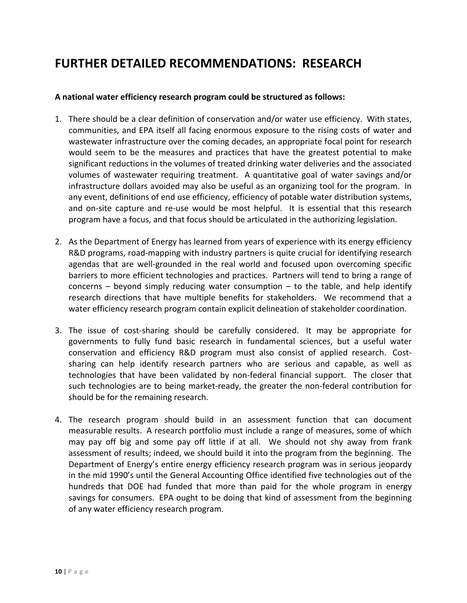## **FURTHER DETAILED RECOMMENDATIONS: RESEARCH**

#### **A national water efficiency research program could be structured as follows:**

- 1. There should be a clear definition of conservation and/or water use efficiency. With states, communities, and EPA itself all facing enormous exposure to the rising costs of water and wastewater infrastructure over the coming decades, an appropriate focal point for research would seem to be the measures and practices that have the greatest potential to make significant reductions in the volumes of treated drinking water deliveries and the associated volumes of wastewater requiring treatment. A quantitative goal of water savings and/or infrastructure dollars avoided may also be useful as an organizing tool for the program. In any event, definitions of end use efficiency, efficiency of potable water distribution systems, and on-site capture and re-use would be most helpful. It is essential that this research program have a focus, and that focus should be articulated in the authorizing legislation.
- 2. As the Department of Energy has learned from years of experience with its energy efficiency R&D programs, road-mapping with industry partners is quite crucial for identifying research agendas that are well‐grounded in the real world and focused upon overcoming specific barriers to more efficient technologies and practices. Partners will tend to bring a range of concerns  $-$  beyond simply reducing water consumption  $-$  to the table, and help identify research directions that have multiple benefits for stakeholders. We recommend that a water efficiency research program contain explicit delineation of stakeholder coordination.
- 3. The issue of cost-sharing should be carefully considered. It may be appropriate for governments to fully fund basic research in fundamental sciences, but a useful water conservation and efficiency R&D program must also consist of applied research. Cost‐ sharing can help identify research partners who are serious and capable, as well as technologies that have been validated by non‐federal financial support. The closer that such technologies are to being market-ready, the greater the non-federal contribution for should be for the remaining research.
- 4. The research program should build in an assessment function that can document measurable results. A research portfolio must include a range of measures, some of which may pay off big and some pay off little if at all. We should not shy away from frank assessment of results; indeed, we should build it into the program from the beginning. The Department of Energy's entire energy efficiency research program was in serious jeopardy in the mid 1990's until the General Accounting Office identified five technologies out of the hundreds that DOE had funded that more than paid for the whole program in energy savings for consumers. EPA ought to be doing that kind of assessment from the beginning of any water efficiency research program.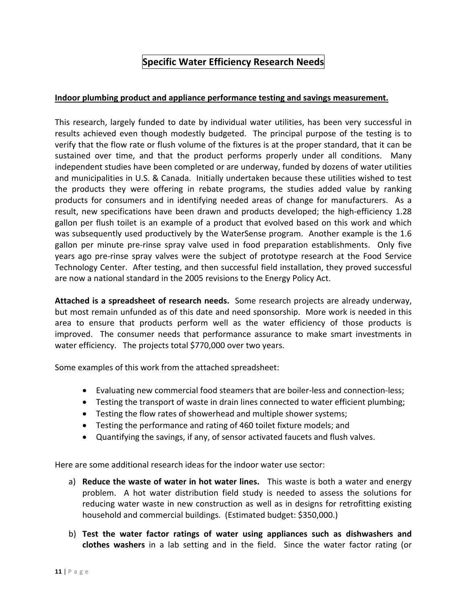### **Specific Water Efficiency Research Needs**

#### **Indoor plumbing product and appliance performance testing and savings measurement.**

This research, largely funded to date by individual water utilities, has been very successful in results achieved even though modestly budgeted. The principal purpose of the testing is to verify that the flow rate or flush volume of the fixtures is at the proper standard, that it can be sustained over time, and that the product performs properly under all conditions. Many independent studies have been completed or are underway, funded by dozens of water utilities and municipalities in U.S. & Canada. Initially undertaken because these utilities wished to test the products they were offering in rebate programs, the studies added value by ranking products for consumers and in identifying needed areas of change for manufacturers. As a result, new specifications have been drawn and products developed; the high‐efficiency 1.28 gallon per flush toilet is an example of a product that evolved based on this work and which was subsequently used productively by the WaterSense program. Another example is the 1.6 gallon per minute pre‐rinse spray valve used in food preparation establishments. Only five years ago pre‐rinse spray valves were the subject of prototype research at the Food Service Technology Center. After testing, and then successful field installation, they proved successful are now a national standard in the 2005 revisions to the Energy Policy Act.

**Attached is a spreadsheet of research needs.** Some research projects are already underway, but most remain unfunded as of this date and need sponsorship. More work is needed in this area to ensure that products perform well as the water efficiency of those products is improved. The consumer needs that performance assurance to make smart investments in water efficiency. The projects total \$770,000 over two years.

Some examples of this work from the attached spreadsheet:

- Evaluating new commercial food steamers that are boiler‐less and connection‐less;
- Testing the transport of waste in drain lines connected to water efficient plumbing;
- Testing the flow rates of showerhead and multiple shower systems;
- Testing the performance and rating of 460 toilet fixture models; and
- Quantifying the savings, if any, of sensor activated faucets and flush valves.

Here are some additional research ideas for the indoor water use sector:

- a) **Reduce the waste of water in hot water lines.**  This waste is both a water and energy problem. A hot water distribution field study is needed to assess the solutions for reducing water waste in new construction as well as in designs for retrofitting existing household and commercial buildings. (Estimated budget: \$350,000.)
- b) **Test the water factor ratings of water using appliances such as dishwashers and clothes washers** in a lab setting and in the field. Since the water factor rating (or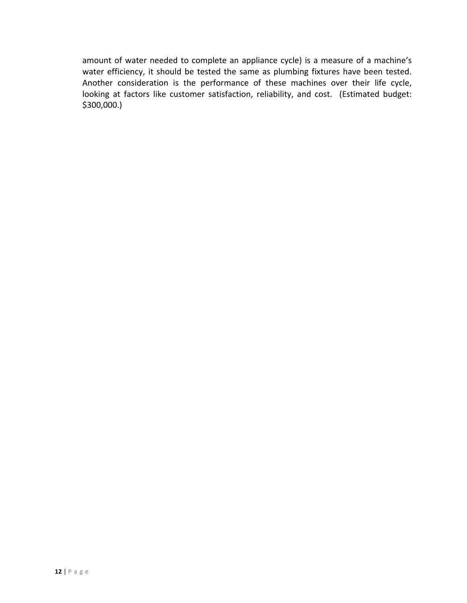amount of water needed to complete an appliance cycle) is a measure of a machine's water efficiency, it should be tested the same as plumbing fixtures have been tested. Another consideration is the performance of these machines over their life cycle, looking at factors like customer satisfaction, reliability, and cost. (Estimated budget: \$300,000.)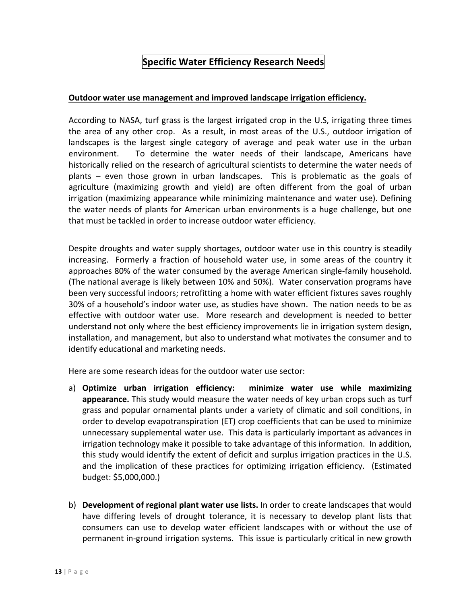### **Specific Water Efficiency Research Needs**

#### **Outdoor water use management and improved landscape irrigation efficiency.**

According to NASA, turf grass is the largest irrigated crop in the U.S, irrigating three times the area of any other crop. As a result, in most areas of the U.S., outdoor irrigation of landscapes is the largest single category of average and peak water use in the urban environment. To determine the water needs of their landscape, Americans have historically relied on the research of agricultural scientists to determine the water needs of plants – even those grown in urban landscapes. This is problematic as the goals of agriculture (maximizing growth and yield) are often different from the goal of urban irrigation (maximizing appearance while minimizing maintenance and water use). Defining the water needs of plants for American urban environments is a huge challenge, but one that must be tackled in order to increase outdoor water efficiency.

Despite droughts and water supply shortages, outdoor water use in this country is steadily increasing. Formerly a fraction of household water use, in some areas of the country it approaches 80% of the water consumed by the average American single‐family household. (The national average is likely between 10% and 50%). Water conservation programs have been very successful indoors; retrofitting a home with water efficient fixtures saves roughly 30% of a household's indoor water use, as studies have shown. The nation needs to be as effective with outdoor water use. More research and development is needed to better understand not only where the best efficiency improvements lie in irrigation system design, installation, and management, but also to understand what motivates the consumer and to identify educational and marketing needs.

Here are some research ideas for the outdoor water use sector:

- a) **Optimize urban irrigation efficiency: minimize water use while maximizing appearance.** This study would measure the water needs of key urban crops such as turf grass and popular ornamental plants under a variety of climatic and soil conditions, in order to develop evapotranspiration (ET) crop coefficients that can be used to minimize unnecessary supplemental water use. This data is particularly important as advances in irrigation technology make it possible to take advantage of this information. In addition, this study would identify the extent of deficit and surplus irrigation practices in the U.S. and the implication of these practices for optimizing irrigation efficiency. (Estimated budget: \$5,000,000.)
- b) **Development of regional plant water use lists.** In order to create landscapes that would have differing levels of drought tolerance, it is necessary to develop plant lists that consumers can use to develop water efficient landscapes with or without the use of permanent in‐ground irrigation systems. This issue is particularly critical in new growth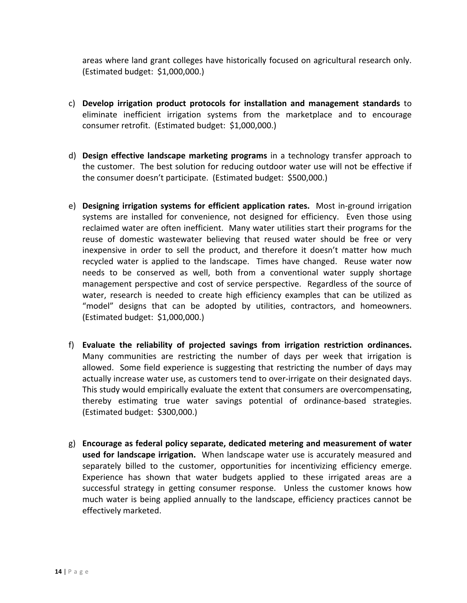areas where land grant colleges have historically focused on agricultural research only. (Estimated budget: \$1,000,000.)

- c) **Develop irrigation product protocols for installation and management standards** to eliminate inefficient irrigation systems from the marketplace and to encourage consumer retrofit. (Estimated budget: \$1,000,000.)
- d) **Design effective landscape marketing programs** in a technology transfer approach to the customer. The best solution for reducing outdoor water use will not be effective if the consumer doesn't participate. (Estimated budget: \$500,000.)
- e) **Designing irrigation systems for efficient application rates.** Most in‐ground irrigation systems are installed for convenience, not designed for efficiency. Even those using reclaimed water are often inefficient. Many water utilities start their programs for the reuse of domestic wastewater believing that reused water should be free or very inexpensive in order to sell the product, and therefore it doesn't matter how much recycled water is applied to the landscape. Times have changed. Reuse water now needs to be conserved as well, both from a conventional water supply shortage management perspective and cost of service perspective. Regardless of the source of water, research is needed to create high efficiency examples that can be utilized as "model" designs that can be adopted by utilities, contractors, and homeowners. (Estimated budget: \$1,000,000.)
- f) **Evaluate the reliability of projected savings from irrigation restriction ordinances.** Many communities are restricting the number of days per week that irrigation is allowed. Some field experience is suggesting that restricting the number of days may actually increase water use, as customers tend to over-irrigate on their designated days. This study would empirically evaluate the extent that consumers are overcompensating, thereby estimating true water savings potential of ordinance‐based strategies. (Estimated budget: \$300,000.)
- g) **Encourage as federal policy separate, dedicated metering and measurement of water used for landscape irrigation.** When landscape water use is accurately measured and separately billed to the customer, opportunities for incentivizing efficiency emerge. Experience has shown that water budgets applied to these irrigated areas are a successful strategy in getting consumer response. Unless the customer knows how much water is being applied annually to the landscape, efficiency practices cannot be effectively marketed.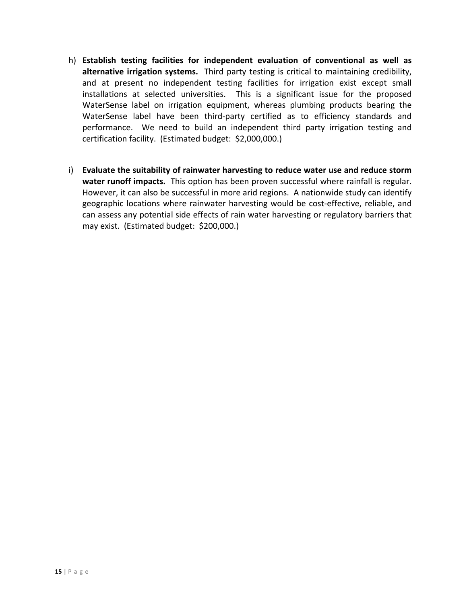- h) **Establish testing facilities for independent evaluation of conventional as well as alternative irrigation systems.** Third party testing is critical to maintaining credibility, and at present no independent testing facilities for irrigation exist except small installations at selected universities. This is a significant issue for the proposed WaterSense label on irrigation equipment, whereas plumbing products bearing the WaterSense label have been third‐party certified as to efficiency standards and performance. We need to build an independent third party irrigation testing and certification facility. (Estimated budget: \$2,000,000.)
- i) **Evaluate the suitability of rainwater harvesting to reduce water use and reduce storm water runoff impacts.** This option has been proven successful where rainfall is regular. However, it can also be successful in more arid regions. A nationwide study can identify geographic locations where rainwater harvesting would be cost-effective, reliable, and can assess any potential side effects of rain water harvesting or regulatory barriers that may exist. (Estimated budget: \$200,000.)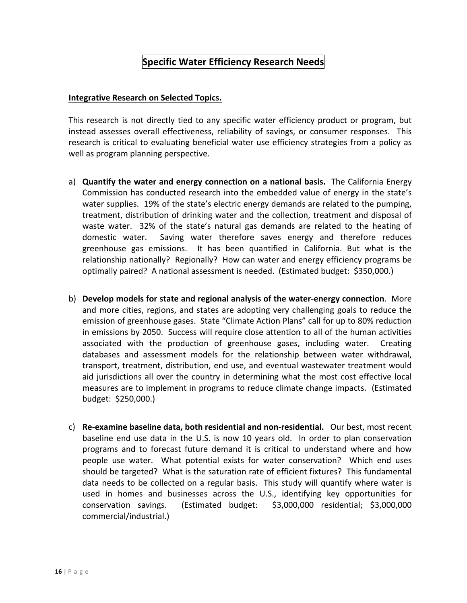### **Specific Water Efficiency Research Needs**

#### **Integrative Research on Selected Topics.**

This research is not directly tied to any specific water efficiency product or program, but instead assesses overall effectiveness, reliability of savings, or consumer responses. This research is critical to evaluating beneficial water use efficiency strategies from a policy as well as program planning perspective.

- a) **Quantify the water and energy connection on a national basis.** The California Energy Commission has conducted research into the embedded value of energy in the state's water supplies. 19% of the state's electric energy demands are related to the pumping, treatment, distribution of drinking water and the collection, treatment and disposal of waste water. 32% of the state's natural gas demands are related to the heating of domestic water. Saving water therefore saves energy and therefore reduces greenhouse gas emissions. It has been quantified in California. But what is the relationship nationally? Regionally? How can water and energy efficiency programs be optimally paired? A national assessment is needed. (Estimated budget: \$350,000.)
- b) **Develop models for state and regional analysis of the water‐energy connection**. More and more cities, regions, and states are adopting very challenging goals to reduce the emission of greenhouse gases. State "Climate Action Plans" call for up to 80% reduction in emissions by 2050. Success will require close attention to all of the human activities associated with the production of greenhouse gases, including water. Creating databases and assessment models for the relationship between water withdrawal, transport, treatment, distribution, end use, and eventual wastewater treatment would aid jurisdictions all over the country in determining what the most cost effective local measures are to implement in programs to reduce climate change impacts. (Estimated budget: \$250,000.)
- c) **Re‐examine baseline data, both residential and non‐residential.** Our best, most recent baseline end use data in the U.S. is now 10 years old. In order to plan conservation programs and to forecast future demand it is critical to understand where and how people use water. What potential exists for water conservation? Which end uses should be targeted? What is the saturation rate of efficient fixtures? This fundamental data needs to be collected on a regular basis. This study will quantify where water is used in homes and businesses across the U.S., identifying key opportunities for conservation savings. (Estimated budget: \$3,000,000 residential; \$3,000,000 commercial/industrial.)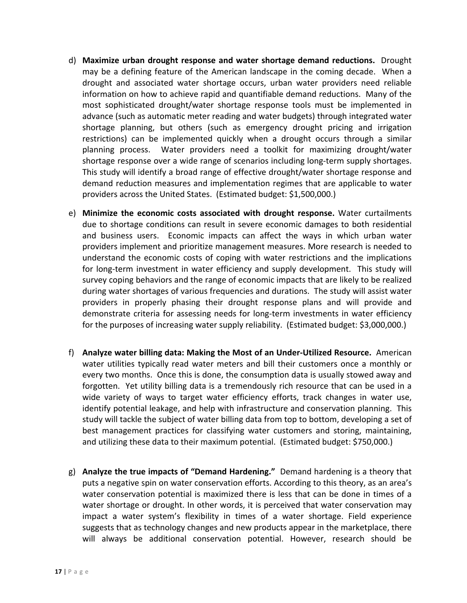- d) **Maximize urban drought response and water shortage demand reductions.** Drought may be a defining feature of the American landscape in the coming decade. When a drought and associated water shortage occurs, urban water providers need reliable information on how to achieve rapid and quantifiable demand reductions. Many of the most sophisticated drought/water shortage response tools must be implemented in advance (such as automatic meter reading and water budgets) through integrated water shortage planning, but others (such as emergency drought pricing and irrigation restrictions) can be implemented quickly when a drought occurs through a similar planning process. Water providers need a toolkit for maximizing drought/water shortage response over a wide range of scenarios including long‐term supply shortages. This study will identify a broad range of effective drought/water shortage response and demand reduction measures and implementation regimes that are applicable to water providers across the United States. (Estimated budget: \$1,500,000.)
- e) **Minimize the economic costs associated with drought response.** Water curtailments due to shortage conditions can result in severe economic damages to both residential and business users. Economic impacts can affect the ways in which urban water providers implement and prioritize management measures. More research is needed to understand the economic costs of coping with water restrictions and the implications for long-term investment in water efficiency and supply development. This study will survey coping behaviors and the range of economic impacts that are likely to be realized during water shortages of various frequencies and durations. The study will assist water providers in properly phasing their drought response plans and will provide and demonstrate criteria for assessing needs for long-term investments in water efficiency for the purposes of increasing water supply reliability. (Estimated budget: \$3,000,000.)
- f) **Analyze water billing data: Making the Most of an Under‐Utilized Resource.** American water utilities typically read water meters and bill their customers once a monthly or every two months. Once this is done, the consumption data is usually stowed away and forgotten. Yet utility billing data is a tremendously rich resource that can be used in a wide variety of ways to target water efficiency efforts, track changes in water use, identify potential leakage, and help with infrastructure and conservation planning. This study will tackle the subject of water billing data from top to bottom, developing a set of best management practices for classifying water customers and storing, maintaining, and utilizing these data to their maximum potential. (Estimated budget: \$750,000.)
- g) **Analyze the true impacts of "Demand Hardening."** Demand hardening is a theory that puts a negative spin on water conservation efforts. According to this theory, as an area's water conservation potential is maximized there is less that can be done in times of a water shortage or drought. In other words, it is perceived that water conservation may impact a water system's flexibility in times of a water shortage. Field experience suggests that as technology changes and new products appear in the marketplace, there will always be additional conservation potential. However, research should be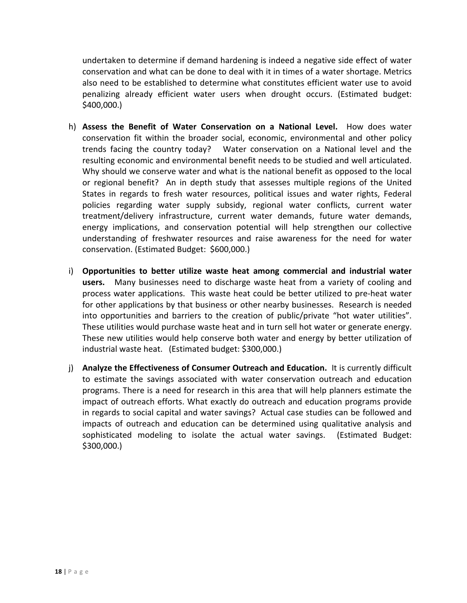undertaken to determine if demand hardening is indeed a negative side effect of water conservation and what can be done to deal with it in times of a water shortage. Metrics also need to be established to determine what constitutes efficient water use to avoid penalizing already efficient water users when drought occurs. (Estimated budget: \$400,000.)

- h) **Assess the Benefit of Water Conservation on a National Level.**  How does water conservation fit within the broader social, economic, environmental and other policy trends facing the country today? Water conservation on a National level and the resulting economic and environmental benefit needs to be studied and well articulated. Why should we conserve water and what is the national benefit as opposed to the local or regional benefit? An in depth study that assesses multiple regions of the United States in regards to fresh water resources, political issues and water rights, Federal policies regarding water supply subsidy, regional water conflicts, current water treatment/delivery infrastructure, current water demands, future water demands, energy implications, and conservation potential will help strengthen our collective understanding of freshwater resources and raise awareness for the need for water conservation. (Estimated Budget: \$600,000.)
- i) **Opportunities to better utilize waste heat among commercial and industrial water** users. Many businesses need to discharge waste heat from a variety of cooling and process water applications. This waste heat could be better utilized to pre‐heat water for other applications by that business or other nearby businesses. Research is needed into opportunities and barriers to the creation of public/private "hot water utilities". These utilities would purchase waste heat and in turn sell hot water or generate energy. These new utilities would help conserve both water and energy by better utilization of industrial waste heat. (Estimated budget: \$300,000.)
- j) **Analyze the Effectiveness of Consumer Outreach and Education.** It is currently difficult to estimate the savings associated with water conservation outreach and education programs. There is a need for research in this area that will help planners estimate the impact of outreach efforts. What exactly do outreach and education programs provide in regards to social capital and water savings? Actual case studies can be followed and impacts of outreach and education can be determined using qualitative analysis and sophisticated modeling to isolate the actual water savings. (Estimated Budget: \$300,000.)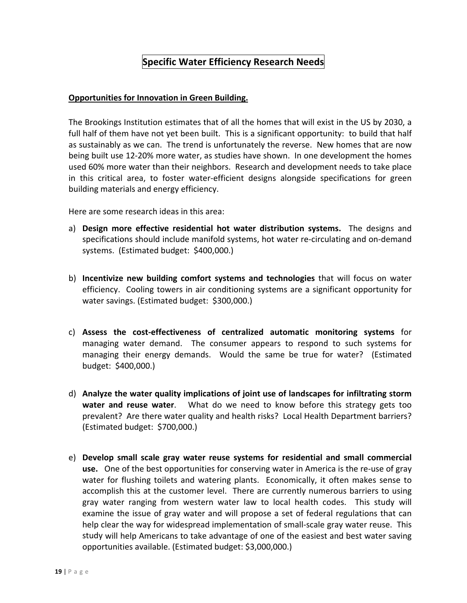### **Specific Water Efficiency Research Needs**

#### **Opportunities for Innovation in Green Building.**

The Brookings Institution estimates that of all the homes that will exist in the US by 2030, a full half of them have not yet been built. This is a significant opportunity: to build that half as sustainably as we can. The trend is unfortunately the reverse. New homes that are now being built use 12‐20% more water, as studies have shown. In one development the homes used 60% more water than their neighbors. Research and development needs to take place in this critical area, to foster water‐efficient designs alongside specifications for green building materials and energy efficiency.

Here are some research ideas in this area:

- a) **Design more effective residential hot water distribution systems.** The designs and specifications should include manifold systems, hot water re‐circulating and on‐demand systems. (Estimated budget: \$400,000.)
- b) **Incentivize new building comfort systems and technologies** that will focus on water efficiency. Cooling towers in air conditioning systems are a significant opportunity for water savings. (Estimated budget: \$300,000.)
- c) **Assess the cost‐effectiveness of centralized automatic monitoring systems** for managing water demand. The consumer appears to respond to such systems for managing their energy demands. Would the same be true for water? (Estimated budget: \$400,000.)
- d) **Analyze the water quality implications of joint use of landscapes for infiltrating storm water and reuse water**. What do we need to know before this strategy gets too prevalent? Are there water quality and health risks? Local Health Department barriers? (Estimated budget: \$700,000.)
- e) **Develop small scale gray water reuse systems for residential and small commercial** use. One of the best opportunities for conserving water in America is the re-use of gray water for flushing toilets and watering plants. Economically, it often makes sense to accomplish this at the customer level. There are currently numerous barriers to using gray water ranging from western water law to local health codes. This study will examine the issue of gray water and will propose a set of federal regulations that can help clear the way for widespread implementation of small‐scale gray water reuse. This study will help Americans to take advantage of one of the easiest and best water saving opportunities available. (Estimated budget: \$3,000,000.)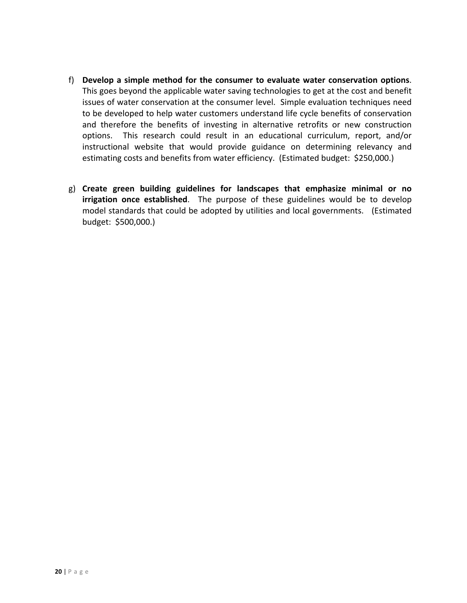- f) **Develop a simple method for the consumer to evaluate water conservation options**. This goes beyond the applicable water saving technologies to get at the cost and benefit issues of water conservation at the consumer level. Simple evaluation techniques need to be developed to help water customers understand life cycle benefits of conservation and therefore the benefits of investing in alternative retrofits or new construction options. This research could result in an educational curriculum, report, and/or instructional website that would provide guidance on determining relevancy and estimating costs and benefits from water efficiency. (Estimated budget: \$250,000.)
- g) **Create green building guidelines for landscapes that emphasize minimal or no irrigation once established**. The purpose of these guidelines would be to develop model standards that could be adopted by utilities and local governments. (Estimated budget: \$500,000.)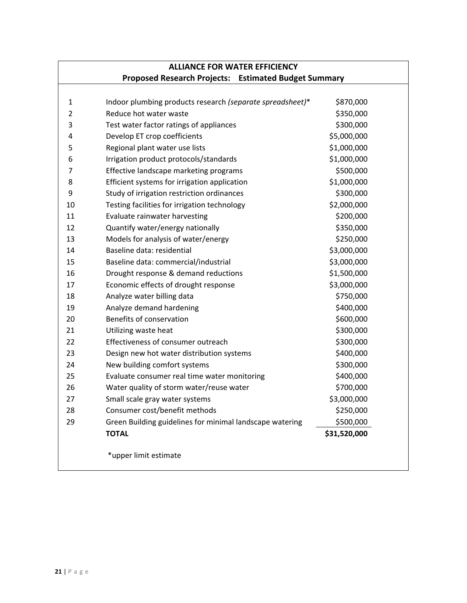### **ALLIANCE FOR WATER EFFICIENCY Proposed Research Projects: Estimated Budget Summary**

| $\mathbf{1}$<br>$\overline{2}$ | Indoor plumbing products research (separate spreadsheet)*<br>Reduce hot water waste | \$870,000              |
|--------------------------------|-------------------------------------------------------------------------------------|------------------------|
| 3                              |                                                                                     | \$350,000<br>\$300,000 |
| 4                              | Test water factor ratings of appliances                                             |                        |
|                                | Develop ET crop coefficients                                                        | \$5,000,000            |
| 5                              | Regional plant water use lists                                                      | \$1,000,000            |
| 6                              | Irrigation product protocols/standards                                              | \$1,000,000            |
| $\overline{7}$                 | Effective landscape marketing programs                                              | \$500,000              |
| 8                              | Efficient systems for irrigation application                                        | \$1,000,000            |
| 9                              | Study of irrigation restriction ordinances                                          | \$300,000              |
| 10                             | Testing facilities for irrigation technology                                        | \$2,000,000            |
| 11                             | Evaluate rainwater harvesting                                                       | \$200,000              |
| 12                             | Quantify water/energy nationally                                                    | \$350,000              |
| 13                             | Models for analysis of water/energy                                                 | \$250,000              |
| 14                             | Baseline data: residential                                                          | \$3,000,000            |
| 15                             | Baseline data: commercial/industrial                                                | \$3,000,000            |
| 16                             | Drought response & demand reductions                                                | \$1,500,000            |
| 17                             | Economic effects of drought response                                                | \$3,000,000            |
| 18                             | Analyze water billing data                                                          | \$750,000              |
| 19                             | Analyze demand hardening                                                            | \$400,000              |
| 20                             | Benefits of conservation                                                            | \$600,000              |
| 21                             | Utilizing waste heat                                                                | \$300,000              |
| 22                             | Effectiveness of consumer outreach                                                  | \$300,000              |
| 23                             | Design new hot water distribution systems                                           | \$400,000              |
| 24                             | New building comfort systems                                                        | \$300,000              |
| 25                             | Evaluate consumer real time water monitoring                                        | \$400,000              |
| 26                             | Water quality of storm water/reuse water                                            | \$700,000              |
| 27                             | Small scale gray water systems                                                      | \$3,000,000            |
| 28                             | Consumer cost/benefit methods                                                       | \$250,000              |
| 29                             | Green Building guidelines for minimal landscape watering                            | \$500,000              |
|                                | <b>TOTAL</b>                                                                        | \$31,520,000           |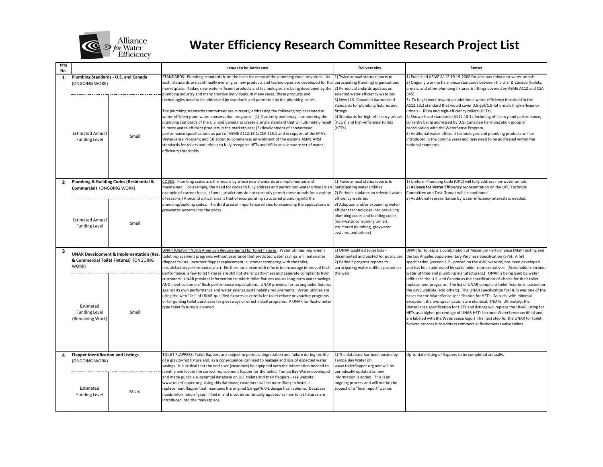

| Proj<br>No.    |                                                                                                       |                                               | <b>Issues to be Addressed</b>                                                                                                                                                                                                                                                                                                                                                                                                                                                                                                                                                                                                                                                                                                                                                                                                                                                                                                                                                                                                                                                                                                                                                  | <b>Deliverables</b>                                                                                                                                                                                                                                                                                                                    | <b>Status</b>                                                                                                                                                                                                                                                                                                                                                                                                                                                                                                                                                                                                                                                                                                                                                                                                                              |
|----------------|-------------------------------------------------------------------------------------------------------|-----------------------------------------------|--------------------------------------------------------------------------------------------------------------------------------------------------------------------------------------------------------------------------------------------------------------------------------------------------------------------------------------------------------------------------------------------------------------------------------------------------------------------------------------------------------------------------------------------------------------------------------------------------------------------------------------------------------------------------------------------------------------------------------------------------------------------------------------------------------------------------------------------------------------------------------------------------------------------------------------------------------------------------------------------------------------------------------------------------------------------------------------------------------------------------------------------------------------------------------|----------------------------------------------------------------------------------------------------------------------------------------------------------------------------------------------------------------------------------------------------------------------------------------------------------------------------------------|--------------------------------------------------------------------------------------------------------------------------------------------------------------------------------------------------------------------------------------------------------------------------------------------------------------------------------------------------------------------------------------------------------------------------------------------------------------------------------------------------------------------------------------------------------------------------------------------------------------------------------------------------------------------------------------------------------------------------------------------------------------------------------------------------------------------------------------------|
| 1              | <b>ONGOING WORK)</b><br><b>Estimated Annual</b><br><b>Funding Level</b>                               | Plumbing Standards - U.S. and Canada<br>Small | STANDARDS: Plumbing standards form the basis for many of the plumbing code provisions. As<br>such, standards are continually evolving as new products and technologies are developed for th<br>marketplace. Today, new water-efficient products and technologies are being developed by the<br>plumbing industry and many creative individuals. In many cases, these products and<br>technologies need to be addressed by standards and permitted by the plumbing codes.<br>The plumbing standards committees are currently addressing the following topics related to<br>water-efficiency and water conservation programs: (1) Currently underway: harmonizing the<br>plumbing standards of the U.S. and Canada to create a single standard that will ultimately result<br>in more water-efficient products in the marketplace; (2) development of showerhead<br>performance specifications as part of ASME A112.18.1/CSA 125.1 and in support of the EPA's<br>WaterSense Program; and (3) about to commence: amendment of the existing ASME ANSI<br>standards for toilets and urinals to fully recognize HETs and HEUs as a separate set of water-<br>efficiency thresholds. | 1) Twice annual status reports to<br>participating (funding) organizations<br>2) Periodic standards updates on<br>selected water efficiency websites<br>3) New U.S.-Canadian harmonized<br>standards for plumbing fixtures and<br>fittings<br>4) Standards for high-efficiency urinals<br>(HEUs) and high-efficiency toilets<br>(HETs) | 1) Published ASME A112.19.19-2006 for vitreous china non-water urinals<br>2) Ongoing work to harmonize standards between the U.S. & Canada (toilets,<br>urinals, and other plumbing fixtures & fittings covered by ASME A112 and CSA<br>B45)<br>3) To begin work toward an additional water-efficiency threshold in the<br>A112.19.2 standard that would cover 0.5-gpf/1.9-lpf urinals (high-efficiency<br>urinals - HEUs) and high-efficiency toilets (HETs).<br>4) Showerhead standards (A112.18.1), including efficiency and performance,<br>currently being addressed by U.S.-Canadian harmonization group in<br>coordination with the WaterSense Program<br>5) Additional water-efficient technologies and plumbing products will be<br>introduced in the coming years and may need to be addressed within the<br>national standards. |
| $\overline{2}$ | Plumbing & Building Codes (Residential &<br>Commercial) (ONGOING WORK)                                |                                               | CODES: Plumbing codes are the means by which new standards are implemented and<br>maintained. For example, the need for codes to fully address and permit non-water urinals is an<br>example of current focus. (Some jurisdictions do not currently permit these urinals for a variety<br>of reasons.) A second critical area is that of incorporating structured plumbing into the                                                                                                                                                                                                                                                                                                                                                                                                                                                                                                                                                                                                                                                                                                                                                                                            | 1) Twice annual status reports to<br>participating water utilities<br>2) Periodic updates on selected water<br>efficiency websites                                                                                                                                                                                                     | 1) Uniform Plumbing Code (UPC) will fully address non-water urinals,<br>2) Alliance for Water Efficiency representation on the UPC Technical<br>Committee and Task Groups will be continued.<br>3) Additional representation by water-efficiency interests is needed.                                                                                                                                                                                                                                                                                                                                                                                                                                                                                                                                                                      |
|                | <b>Estimated Annual</b><br><b>Funding Level</b>                                                       | Small                                         | plumbing/building codes. The third area of importance relates to expanding the applications of<br>greywater systems into the codes.                                                                                                                                                                                                                                                                                                                                                                                                                                                                                                                                                                                                                                                                                                                                                                                                                                                                                                                                                                                                                                            | 3) Adoption and/or expanding water-<br>efficient technologies into prevailing<br>plumbing codes and building codes<br>(non-water consuming urinals,<br>structured plumbing, greywater<br>systems, and others)                                                                                                                          |                                                                                                                                                                                                                                                                                                                                                                                                                                                                                                                                                                                                                                                                                                                                                                                                                                            |
| 3              | <b>UNAR Development &amp; Implementation (Res.</b><br>& Commercial Toilet Fixtures) (ONGOING<br>WORK) |                                               | JNAR (Uniform North American Requirements) for toilet fixtures: Water utilities implement<br>toilet replacement programs without assurance that predicted water savings will materialize<br>(flapper failure, incorrect flapper replacement, customer tampering with the toilet,<br>unsatisfactory performance, etc.). Furthermore, even with efforts to encourage improved flush<br>performance, a few tollet fixtures are still not stellar performers and generate complaints from                                                                                                                                                                                                                                                                                                                                                                                                                                                                                                                                                                                                                                                                                          | 1) UNAR qualified toilet lists -<br>documented and posted for public use<br>2) Periodic progress reports to<br>participating water utilities posted on<br>the web                                                                                                                                                                      | UNAR for toilets is a combination of Maximum Performance (MaP) testing and<br>the Los Angeles Supplementary Purchase Specification (SPS). A full<br>specification (version 1.2 - posted on the AWE website) has been developed<br>and has been addressed by stakeholder representatives. (Stakeholders include<br>water utilities and plumbing manufacturers.) UNAR is being used by water                                                                                                                                                                                                                                                                                                                                                                                                                                                 |
|                | Estimated<br><b>Funding Level</b><br>(Remaining Work)                                                 | Small                                         | customers. UNAR provides information re: which toilet fixtures assure long-term water savings<br>AND meet customers' flush performance expectations. UNAR provides for testing toilet fixtures<br>against its own performance and water savings sustainability requirements. Water utilities are<br>using the web "list" of UNAR-qualified fixtures as criteria for toilet rebate or voucher programs,<br>or for guiding toilet purchases for giveaways or direct install programs. A UNAR for flushometer<br>type toilet fixtures is planned.                                                                                                                                                                                                                                                                                                                                                                                                                                                                                                                                                                                                                                 |                                                                                                                                                                                                                                                                                                                                        | utilities in the U.S. and Canada as the specification-of-choice for their toilet<br>replacement programs. The list of UNAR-compliant toilet fixtures is posted on<br>the AWE website (and others). The UNAR specification for HETs was one of the<br>bases for the WaterSense specification for HETs. As such, with minimal<br>exception, the two specifications are identical. (NOTE: Ultimately, the<br>WaterSense specification for HETs and listings will replace the UNAR listing for<br>HETs as a higher percentage of UNAR HETs become WaterSense-certified and<br>are labeled with the WaterSense logo.) The next step for the UNAR for toilet<br>fixtures process is to address commercial flushometer valve toilets.                                                                                                             |
| 4              | <b>Flapper Identification and Listings</b><br><b>ONGOING WORK)</b>                                    |                                               | TOILET FLAPPERS: Toilet flappers are subject to periodic degradation and failure during the life<br>of a gravity-fed fixture and, as a consequence, can lead to leakage and loss of expected water<br>savings. It is critical that the end-user (customer) be equipped with the information needed to<br>identify and locate the correct replacement flapper for the toilet. Tampa Bay Water developed                                                                                                                                                                                                                                                                                                                                                                                                                                                                                                                                                                                                                                                                                                                                                                         | 1) The database has been posted by<br>Tampa Bay Water on<br>www.toiletflapper.org and will be<br>periodically updated as new                                                                                                                                                                                                           | Up-to-date listing of flappers to be completed annually.                                                                                                                                                                                                                                                                                                                                                                                                                                                                                                                                                                                                                                                                                                                                                                                   |
|                | Estimated<br><b>Funding Level</b>                                                                     | Micro                                         | and made public a substantial database on ULF toilets and their flappers - see website:<br>www.toiletflapper.org Using this database, customers will be more likely to install a<br>replacement flapper that maintains the original 1.6-gpf/6.0-L design flush volume. Database<br>needs information "gaps" filled in and must be continually updated as new toilet fixtures are<br>introduced into the marketplace.                                                                                                                                                                                                                                                                                                                                                                                                                                                                                                                                                                                                                                                                                                                                                           | information is added. This is an<br>ongoing process and will not be the<br>subject of a "final report" per se.                                                                                                                                                                                                                         |                                                                                                                                                                                                                                                                                                                                                                                                                                                                                                                                                                                                                                                                                                                                                                                                                                            |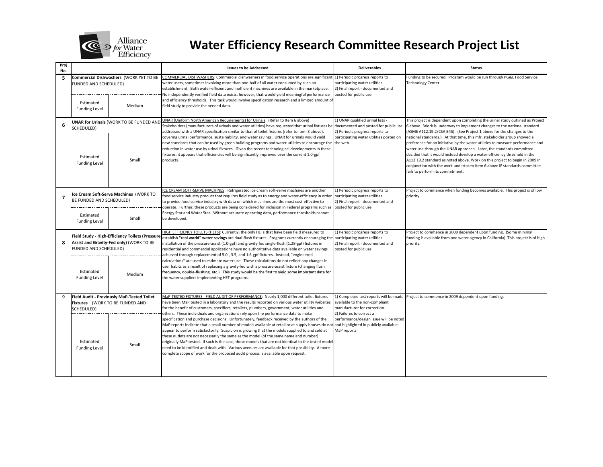

| Proj<br>No.             |                                                                                                                      |                                                  | <b>Issues to be Addressed</b>                                                                                                                                                                                                                                                                                                                                                                                                                                                                                                                                                                                                                                                                                                                                                                                           | <b>Deliverables</b>                                                                                                           | <b>Status</b>                                                                                                                                                                                                                                                                                                                                                                                                                                                                                                                                                                                                                      |
|-------------------------|----------------------------------------------------------------------------------------------------------------------|--------------------------------------------------|-------------------------------------------------------------------------------------------------------------------------------------------------------------------------------------------------------------------------------------------------------------------------------------------------------------------------------------------------------------------------------------------------------------------------------------------------------------------------------------------------------------------------------------------------------------------------------------------------------------------------------------------------------------------------------------------------------------------------------------------------------------------------------------------------------------------------|-------------------------------------------------------------------------------------------------------------------------------|------------------------------------------------------------------------------------------------------------------------------------------------------------------------------------------------------------------------------------------------------------------------------------------------------------------------------------------------------------------------------------------------------------------------------------------------------------------------------------------------------------------------------------------------------------------------------------------------------------------------------------|
| 5                       | <b>FUNDED AND SCHEDULED)</b><br>Estimated<br><b>Funding Level</b>                                                    | Commercial Dishwashers (WORK YET TO BE<br>Medium | COMMERCIAL DISHWASHERS: Commercial dishwashers in food service operations are significant<br>water users, sometimes involving more than one-half of all water consumed by such an<br>establishment. Both water-efficient and inefficient machines are available in the marketplace.<br>No independently verified field data exists, however, that would yield meaningful performance<br>and efficiency thresholds. This task would involve specification research and a limited amount of<br>field study to provide the needed data.                                                                                                                                                                                                                                                                                    | 1) Periodic progress reports to<br>participating water utilities<br>2) Final report - documented and<br>posted for public use | Funding to be secured. Program would be run through PG&E Food Service<br><b>Technology Center.</b>                                                                                                                                                                                                                                                                                                                                                                                                                                                                                                                                 |
| 6                       | SCHEDULED)<br>Estimated                                                                                              | UNAR for Urinals (WORK TO BE FUNDED AND<br>Small | UNAR (Uniform North American Requirements) for Urinals: (Refer to Item 6 above)<br>Stakeholders (manufacturers of urinals and water utilities) have requested that urinal fixtures be documented and posted for public use<br>addressed with a UNAR specification similar to that of toilet fixtures (refer to Item 3 above),<br>covering urinal performance, sustainability, and water savings. UNAR for urinals would yield<br>new standards that can be used by green building programs and water utilities to encourage the the web<br>reduction in water use by urinal fixtures. Given the recent technological developments in these<br>fixtures, it appears that efficiencies will be significantly improved over the current 1.0-gpf<br>products.                                                               | 1) UNAR qualified urinal lists -<br>2) Periodic progress reports to<br>participating water utilities posted on                | This project is dependent upon completing the urinal study outlined as Project<br>6 above. Work is underway to implement changes to the national standard<br>(ASME A112.19.2/CSA B45). (See Project 1 above for the changes to the<br>national standards.) At that time, this mfr. stakeholder group showed a<br>preference for an initiative by the water utilities to measure performance and<br>water use through the UNAR approach. Later, the standards committee<br>decided that it would instead develop a water-efficiency threshold in the<br>A112.19.2 standard as noted above. Work on this project to begin in 2009 in |
|                         | <b>Funding Level</b>                                                                                                 |                                                  |                                                                                                                                                                                                                                                                                                                                                                                                                                                                                                                                                                                                                                                                                                                                                                                                                         |                                                                                                                               | conjunction with the work undertaken Item 6 above IF standards committee<br>fails to perform its commitment.                                                                                                                                                                                                                                                                                                                                                                                                                                                                                                                       |
| $\overline{\mathbf{z}}$ | Ice Cream Soft-Serve Machines (WORK TO<br>BE FUNDED AND SCHEDULED)                                                   |                                                  | ICE CREAM SOFT-SERVE MACHINES: Refrigerated ice-cream soft-serve machines are another<br>food service industry product that requires field study as to energy and water-efficiency in order<br>to provide food service industry with data on which machines are the most cost-effective to<br>operate. Further, these products are being considered for inclusion in Federal programs such as posted for public use                                                                                                                                                                                                                                                                                                                                                                                                     | 1) Periodic progress reports to<br>participating water utilities<br>2) Final report - documented and                          | Project to commence when funding becomes available. This project is of low<br>priority.                                                                                                                                                                                                                                                                                                                                                                                                                                                                                                                                            |
|                         | Estimated<br><b>Funding Level</b>                                                                                    | Small                                            | Energy Star and Water Star. Without accurate operating data, performance thresholds cannot<br>be developed.                                                                                                                                                                                                                                                                                                                                                                                                                                                                                                                                                                                                                                                                                                             |                                                                                                                               |                                                                                                                                                                                                                                                                                                                                                                                                                                                                                                                                                                                                                                    |
| 8                       | Field Study - High-Efficiency Toilets (Pressure<br>Assist and Gravity-Fed only) (WORK TO BE<br>FUNDED AND SCHEDULED) |                                                  | HIGH EFFICIENCY TOILETS (HETS): Currently, the only HETs that have been field measured to<br>establish "real world" water savings are dual-flush fixtures. Programs currently encouraging the<br>installation of the pressure-assist (1.0-gpf) and gravity-fed single-flush (1.28-gpf) fixtures in<br>residential and commercial applications have no authoritative data available on water savings<br>achieved through replacement of 5.0-, 3.5, and 1.6-gpf fixtures. Instead, "engineered                                                                                                                                                                                                                                                                                                                            | 1) Periodic progress reports to<br>participating water utilities<br>2) Final report - documented and<br>posted for public use | Project to commence in 2009 dependent upon funding. (Some minimal<br>funding is available from one water agency in California) This project is of high<br>priority.                                                                                                                                                                                                                                                                                                                                                                                                                                                                |
|                         | Estimated<br><b>Funding Level</b>                                                                                    | Medium                                           | calculations" are used to estimate water use. These calculations do not reflect any changes in<br>user habits as a result of replacing a gravity-fed with a pressure-assist fixture (changing flush<br>frequency, double-flushing, etc.). This study would be the first to yield some important data for<br>the water suppliers implementing HET programs.                                                                                                                                                                                                                                                                                                                                                                                                                                                              |                                                                                                                               |                                                                                                                                                                                                                                                                                                                                                                                                                                                                                                                                                                                                                                    |
|                         | Field Audit - Previously MaP-Tested Toilet<br>Fixtures (WORK TO BE FUNDED AND<br>SCHEDULED)                          |                                                  | MaP-TESTED FIXTURES - FIELD AUDIT OF PERFORMANCE: Nearly 1,000 different toilet fixtures<br>have been MaP tested in a laboratory and the results reported on various water utility websites<br>for the benefit of customers, specifiers, retailers, plumbers, government, water utilities and                                                                                                                                                                                                                                                                                                                                                                                                                                                                                                                           | available to the non-compliant<br>manufacturer for correction.                                                                | 1) Completed test reports will be made Project to commence in 2009 dependent upon funding.                                                                                                                                                                                                                                                                                                                                                                                                                                                                                                                                         |
|                         | Estimated<br><b>Funding Level</b>                                                                                    | Small                                            | others. These individuals and organizations rely upon the performance data to make<br>specification and purchase decisions. Unfortunately, feedback received by the authors of the<br>MaP reports indicate that a small number of models available at retail or at supply houses do not and highlighted in publicly available<br>appear to perform satisfactorily. Suspicion is growing that the models supplied to and sold at<br>these outlets are not necessarily the same as the model (of the same name and number)<br>originally MaP tested. If such is the case, those models that are not identical to the tested model<br>need to be identified and dealt with. Various avenues are available for that possibility. A more<br>complete scope of work for the proposed audit process is available upon request. | 2) Failures to correct a<br>performance/design issue will be noted<br>MaP reports                                             |                                                                                                                                                                                                                                                                                                                                                                                                                                                                                                                                                                                                                                    |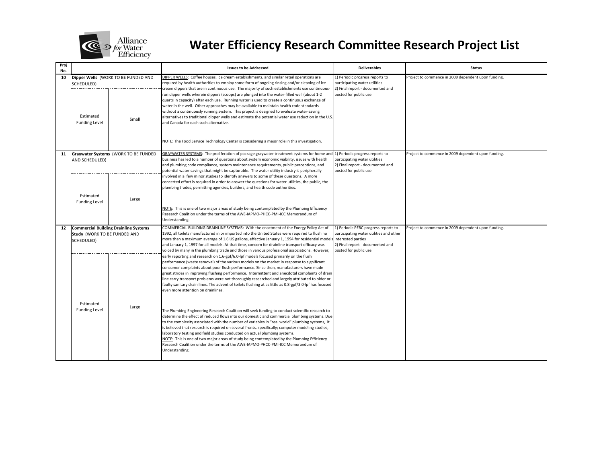

| Proj<br>No. |                                                                                            |                                      | <b>Issues to be Addressed</b>                                                                                                                                                                                                                                                                                                                                                                                                                                                                                                                                                                                                                                                                                                                                                                                                                                                                                                                                                                                                                                                                                                                                                                                                                                                                                                                                                                                                   | <b>Deliverables</b>                                                                                                 | <b>Status</b>                                       |
|-------------|--------------------------------------------------------------------------------------------|--------------------------------------|---------------------------------------------------------------------------------------------------------------------------------------------------------------------------------------------------------------------------------------------------------------------------------------------------------------------------------------------------------------------------------------------------------------------------------------------------------------------------------------------------------------------------------------------------------------------------------------------------------------------------------------------------------------------------------------------------------------------------------------------------------------------------------------------------------------------------------------------------------------------------------------------------------------------------------------------------------------------------------------------------------------------------------------------------------------------------------------------------------------------------------------------------------------------------------------------------------------------------------------------------------------------------------------------------------------------------------------------------------------------------------------------------------------------------------|---------------------------------------------------------------------------------------------------------------------|-----------------------------------------------------|
| 10          | Dipper Wells (WORK TO BE FUNDED AND<br>SCHEDULED)                                          |                                      | DIPPER WELLS: Coffee houses, ice cream establishments, and similar retail operations are<br>required by health authorities to employ some form of ongoing rinsing and/or cleaning of ice<br>cream dippers that are in continuous use. The majority of such establishments use continuous-                                                                                                                                                                                                                                                                                                                                                                                                                                                                                                                                                                                                                                                                                                                                                                                                                                                                                                                                                                                                                                                                                                                                       | 1) Periodic progress reports to<br>participating water utilities<br>2) Final report - documented and                | Project to commence in 2009 dependent upon funding. |
|             | Estimated<br><b>Funding Level</b>                                                          | Small                                | run dipper wells wherein dippers (scoops) are plunged into the water-filled well (about 1-2<br>quarts in capacity) after each use. Running water is used to create a continuous exchange of<br>water in the well. Other approaches may be available to maintain health code standards<br>without a continuously running system. This project is designed to evaluate water-saving<br>alternatives to traditional dipper wells and estimate the potential water use reduction in the U.S<br>and Canada for each such alternative.                                                                                                                                                                                                                                                                                                                                                                                                                                                                                                                                                                                                                                                                                                                                                                                                                                                                                                | posted for public use                                                                                               |                                                     |
|             |                                                                                            |                                      | NOTE: The Food Service Technology Center is considering a major role in this investigation.                                                                                                                                                                                                                                                                                                                                                                                                                                                                                                                                                                                                                                                                                                                                                                                                                                                                                                                                                                                                                                                                                                                                                                                                                                                                                                                                     |                                                                                                                     |                                                     |
| 11          | AND SCHEDULED)                                                                             | Graywater Systems (WORK TO BE FUNDED | GRAYWATER SYSTEMS: The proliferation of package graywater treatment systems for home and 1) Periodic progress reports to<br>business has led to a number of questions about system economic viability, issues with health<br>and plumbing code compliance, system maintenance requirements, public perceptions, and<br>potential water savings that might be capturable. The water utility industry is peripherally                                                                                                                                                                                                                                                                                                                                                                                                                                                                                                                                                                                                                                                                                                                                                                                                                                                                                                                                                                                                             | participating water utilities<br>2) Final report - documented and<br>posted for public use                          | Project to commence in 2009 dependent upon funding. |
|             | Estimated<br><b>Funding Level</b>                                                          | Large                                | involved in a few minor studies to identify answers to some of these questions. A more<br>concerted effort is required in order to answer the questions for water utilities, the public, the<br>plumbing trades, permitting agencies, builders, and health code authorities.<br>NOTE: This is one of two major areas of study being contemplated by the Plumbing Efficiency<br>Research Coalition under the terms of the AWE-IAPMO-PHCC-PMI-ICC Memorandum of<br>Understanding.                                                                                                                                                                                                                                                                                                                                                                                                                                                                                                                                                                                                                                                                                                                                                                                                                                                                                                                                                 |                                                                                                                     |                                                     |
| 12          | <b>Commercial Building Drainline Systems</b><br>Study (WORK TO BE FUNDED AND<br>SCHEDULED) |                                      | COMMERCIAL BUILDING DRAINLINE SYSTEMS: With the enactment of the Energy Policy Act of<br>1992, all toilets manufactured in or imported into the United States were required to flush no<br>more than a maximum average of 1.6 US gallons, effective January 1, 1994 for residential models interested parties<br>and January 1, 1997 for all models. At that time, concern for drainline transport efficacy was                                                                                                                                                                                                                                                                                                                                                                                                                                                                                                                                                                                                                                                                                                                                                                                                                                                                                                                                                                                                                 | 1) Periodic PERC progress reports to<br>participating water utilities and other<br>2) Final report - documented and | Project to commence in 2009 dependent upon funding. |
|             | Estimated<br><b>Funding Level</b>                                                          | Large                                | voiced by many in the plumbing trade and those in various professional associations. However,<br>early reporting and research on 1.6-gpf/6.0-lpf models focused primarily on the flush<br>performance (waste removal) of the various models on the market in response to significant<br>consumer complaints about poor flush performance. Since then, manufacturers have made<br>great strides in improving flushing performance. Intermittent and anecdotal complaints of drain<br>line carry transport problems were not thoroughly researched and largely attributed to older or<br>faulty sanitary drain lines. The advent of toilets flushing at as little as 0.8-gpf/3.0-lpf has focused<br>even more attention on drainlines.<br>The Plumbing Engineering Research Coalition will seek funding to conduct scientific research to<br>determine the effect of reduced flows into our domestic and commercial plumbing systems. Due<br>to the complexity associated with the number of variables in "real world" plumbing systems, it<br>is believed that research is required on several fronts, specifically; computer modeling studies,<br>laboratory testing and field studies conducted on actual plumbing systems.<br>NOTE: This is one of two major areas of study being contemplated by the Plumbing Efficiency<br>Research Coalition under the terms of the AWE-IAPMO-PHCC-PMI-ICC Memorandum of<br>Understanding. | posted for public use                                                                                               |                                                     |